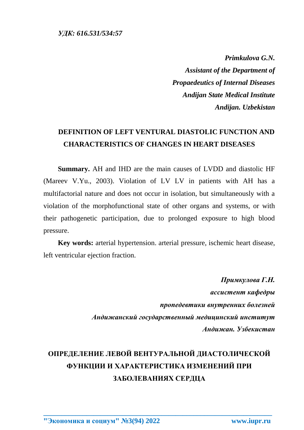*Primkulova G.N. Assistant of the Department of Propaedeutics of Internal Diseases Andijan State Medical Institute Andijan. Uzbekistan*

## **DEFINITION OF LEFT VENTURAL DIASTOLIC FUNCTION AND CHARACTERISTICS OF CHANGES IN HEART DISEASES**

**Summary.** AH and IHD are the main causes of LVDD and diastolic HF (Mareev V.Yu., 2003). Violation of LV LV in patients with AH has a multifactorial nature and does not occur in isolation, but simultaneously with a violation of the morphofunctional state of other organs and systems, or with their pathogenetic participation, due to prolonged exposure to high blood pressure.

**Key words:** arterial hypertension. arterial pressure, ischemic heart disease, left ventricular ejection fraction.

> *Примкулова Г.Н. ассистент кафедры пропедевтики внутренних болезней Андижанский государственный медицинский институт Андижан. Узбекистан*

## **ОПРЕДЕЛЕНИЕ ЛЕВОЙ ВЕНТУРАЛЬНОЙ ДИАСТОЛИЧЕСКОЙ ФУНКЦИИ И ХАРАКТЕРИСТИКА ИЗМЕНЕНИЙ ПРИ ЗАБОЛЕВАНИЯХ СЕРДЦА**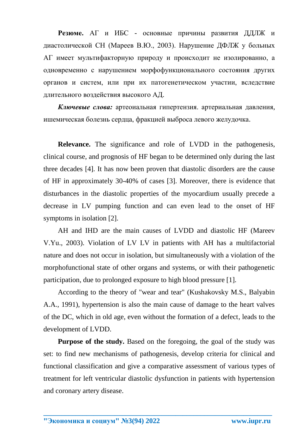**Резюме.** АГ и ИБС - основные причины развития ДДЛЖ и диастолической СН (Мареев В.Ю., 2003). Нарушение ДФЛЖ у больных АГ имеет мультифакторную природу и происходит не изолированно, а одновременно с нарушением морфофункционального состояния других органов и систем, или при их патогенетическом участии, вследствие длительного воздействия высокого АД.

*Ключевые слова:* артеоиальная гипертензия. артериальная давления, ишемическая болезнь сердца, фракцией выброса левого желудочка.

**Relevance.** The significance and role of LVDD in the pathogenesis, clinical course, and prognosis of HF began to be determined only during the last three decades [4]. It has now been proven that diastolic disorders are the cause of HF in approximately 30-40% of cases [3]. Moreover, there is evidence that disturbances in the diastolic properties of the myocardium usually precede a decrease in LV pumping function and can even lead to the onset of HF symptoms in isolation [2].

AH and IHD are the main causes of LVDD and diastolic HF (Mareev V.Yu., 2003). Violation of LV LV in patients with AH has a multifactorial nature and does not occur in isolation, but simultaneously with a violation of the morphofunctional state of other organs and systems, or with their pathogenetic participation, due to prolonged exposure to high blood pressure [1].

According to the theory of "wear and tear" (Kushakovsky M.S., Balyabin A.A., 1991), hypertension is also the main cause of damage to the heart valves of the DC, which in old age, even without the formation of a defect, leads to the development of LVDD.

**Purpose of the study.** Based on the foregoing, the goal of the study was set: to find new mechanisms of pathogenesis, develop criteria for clinical and functional classification and give a comparative assessment of various types of treatment for left ventricular diastolic dysfunction in patients with hypertension and coronary artery disease.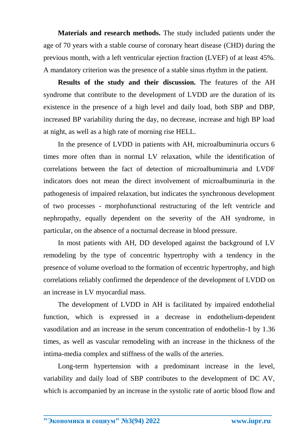**Materials and research methods.** The study included patients under the age of 70 years with a stable course of coronary heart disease (CHD) during the previous month, with a left ventricular ejection fraction (LVEF) of at least 45%. A mandatory criterion was the presence of a stable sinus rhythm in the patient.

**Results of the study and their discussion.** The features of the AH syndrome that contribute to the development of LVDD are the duration of its existence in the presence of a high level and daily load, both SBP and DBP, increased BP variability during the day, no decrease, increase and high BP load at night, as well as a high rate of morning rise HELL.

In the presence of LVDD in patients with AH, microalbuminuria occurs 6 times more often than in normal LV relaxation, while the identification of correlations between the fact of detection of microalbuminuria and LVDF indicators does not mean the direct involvement of microalbuminuria in the pathogenesis of impaired relaxation, but indicates the synchronous development of two processes - morphofunctional restructuring of the left ventricle and nephropathy, equally dependent on the severity of the AH syndrome, in particular, on the absence of a nocturnal decrease in blood pressure.

In most patients with AH, DD developed against the background of LV remodeling by the type of concentric hypertrophy with a tendency in the presence of volume overload to the formation of eccentric hypertrophy, and high correlations reliably confirmed the dependence of the development of LVDD on an increase in LV myocardial mass.

The development of LVDD in AH is facilitated by impaired endothelial function, which is expressed in a decrease in endothelium-dependent vasodilation and an increase in the serum concentration of endothelin-1 by 1.36 times, as well as vascular remodeling with an increase in the thickness of the intima-media complex and stiffness of the walls of the arteries.

Long-term hypertension with a predominant increase in the level, variability and daily load of SBP contributes to the development of DC AV, which is accompanied by an increase in the systolic rate of aortic blood flow and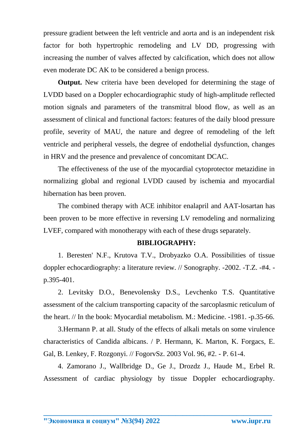pressure gradient between the left ventricle and aorta and is an independent risk factor for both hypertrophic remodeling and LV DD, progressing with increasing the number of valves affected by calcification, which does not allow even moderate DC AK to be considered a benign process.

**Output.** New criteria have been developed for determining the stage of LVDD based on a Doppler echocardiographic study of high-amplitude reflected motion signals and parameters of the transmitral blood flow, as well as an assessment of clinical and functional factors: features of the daily blood pressure profile, severity of MAU, the nature and degree of remodeling of the left ventricle and peripheral vessels, the degree of endothelial dysfunction, changes in HRV and the presence and prevalence of concomitant DCAC.

The effectiveness of the use of the myocardial cytoprotector metazidine in normalizing global and regional LVDD caused by ischemia and myocardial hibernation has been proven.

The combined therapy with ACE inhibitor enalapril and AAT-losartan has been proven to be more effective in reversing LV remodeling and normalizing LVEF, compared with monotherapy with each of these drugs separately.

## **BIBLIOGRAPHY:**

1. Beresten' N.F., Krutova T.V., Drobyazko O.A. Possibilities of tissue doppler echocardiography: a literature review. // Sonography. -2002. -T.Z. -#4. p.395-401.

2. Levitsky D.O., Benevolensky D.S., Levchenko T.S. Quantitative assessment of the calcium transporting capacity of the sarcoplasmic reticulum of the heart. // In the book: Myocardial metabolism. M.: Medicine. -1981. -p.35-66.

3.Hermann P. at all. Study of the effects of alkali metals on some virulence characteristics of Candida albicans. / P. Hermann, K. Marton, K. Forgacs, E. Gal, B. Lenkey, F. Rozgonyi. // FogorvSz. 2003 Vol. 96, #2. - P. 61-4.

4. Zamorano J., Wallbridge D., Ge J., Drozdz J., Haude M., Erbel R. Assessment of cardiac physiology by tissue Doppler echocardiography.